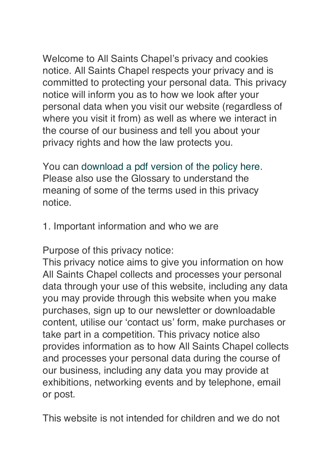Welcome to All Saints Chapel's privacy and cookies notice. All Saints Chapel respects your privacy and is committed to protecting your personal data. This privacy notice will inform you as to how we look after your personal data when you visit our website (regardless of where you visit it from) as well as where we interact in the course of our business and tell you about your privacy rights and how the law protects you.

You can [download a pdf version of the policy here.](http://www.gildredgemanor.co.uk/wp-content/uploads/2018/10/Gildredge-Manor-Privacy-Policy-and-Cookies-Policy-2018.pdf) Please also use the Glossary to understand the meaning of some of the terms used in this privacy notice.

1. Important information and who we are

Purpose of this privacy notice:

This privacy notice aims to give you information on how All Saints Chapel collects and processes your personal data through your use of this website, including any data you may provide through this website when you make purchases, sign up to our newsletter or downloadable content, utilise our 'contact us' form, make purchases or take part in a competition. This privacy notice also provides information as to how All Saints Chapel collects and processes your personal data during the course of our business, including any data you may provide at exhibitions, networking events and by telephone, email or post.

This website is not intended for children and we do not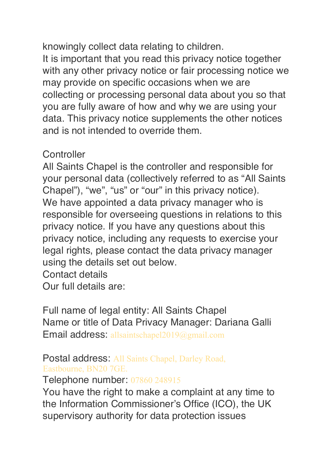knowingly collect data relating to children. It is important that you read this privacy notice together with any other privacy notice or fair processing notice we may provide on specific occasions when we are collecting or processing personal data about you so that you are fully aware of how and why we are using your data. This privacy notice supplements the other notices and is not intended to override them.

## **Controller**

All Saints Chapel is the controller and responsible for your personal data (collectively referred to as "All Saints Chapel"), "we", "us" or "our" in this privacy notice). We have appointed a data privacy manager who is responsible for overseeing questions in relations to this privacy notice. If you have any questions about this privacy notice, including any requests to exercise your legal rights, please contact the data privacy manager using the details set out below. Contact details

Our full details are:

Full name of legal entity: All Saints Chapel Name or title of Data Privacy Manager: Dariana Galli Email address: [allsaintschapel2019@gmail.com](mailto:allsaintschapel2019@gmail.com)

#### Postal address: All Saints Chapel, Darley Road, Eastbourne, BN20 7GE.

Telephone number: 07860 248915

You have the right to make a complaint at any time to the Information Commissioner's Office (ICO), the UK supervisory authority for data protection issues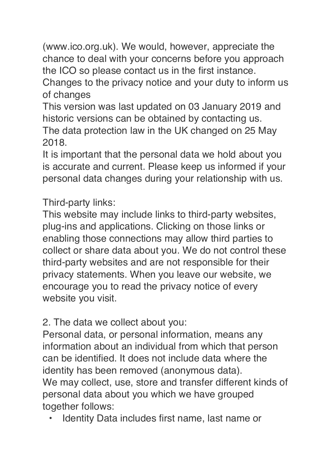(www.ico.org.uk). We would, however, appreciate the chance to deal with your concerns before you approach the ICO so please contact us in the first instance. Changes to the privacy notice and your duty to inform us of changes

This version was last updated on 03 January 2019 and historic versions can be obtained by contacting us. The data protection law in the UK changed on 25 May 2018.

It is important that the personal data we hold about you is accurate and current. Please keep us informed if your personal data changes during your relationship with us.

Third-party links:

This website may include links to third-party websites, plug-ins and applications. Clicking on those links or enabling those connections may allow third parties to collect or share data about you. We do not control these third-party websites and are not responsible for their privacy statements. When you leave our website, we encourage you to read the privacy notice of every website you visit.

2. The data we collect about you:

Personal data, or personal information, means any information about an individual from which that person can be identified. It does not include data where the identity has been removed (anonymous data). We may collect, use, store and transfer different kinds of personal data about you which we have grouped together follows:

Identity Data includes first name, last name or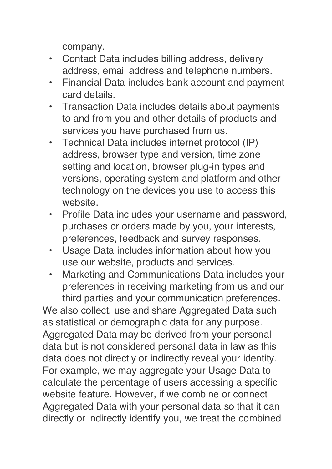company.

- Contact Data includes billing address, delivery address, email address and telephone numbers.
- Financial Data includes bank account and payment card details.
- Transaction Data includes details about payments to and from you and other details of products and services you have purchased from us.
- Technical Data includes internet protocol (IP) address, browser type and version, time zone setting and location, browser plug-in types and versions, operating system and platform and other technology on the devices you use to access this website.
- Profile Data includes your username and password, purchases or orders made by you, your interests, preferences, feedback and survey responses.
- Usage Data includes information about how you use our website, products and services.
- Marketing and Communications Data includes your preferences in receiving marketing from us and our third parties and your communication preferences.

We also collect, use and share Aggregated Data such as statistical or demographic data for any purpose. Aggregated Data may be derived from your personal data but is not considered personal data in law as this data does not directly or indirectly reveal your identity. For example, we may aggregate your Usage Data to calculate the percentage of users accessing a specific website feature. However, if we combine or connect Aggregated Data with your personal data so that it can directly or indirectly identify you, we treat the combined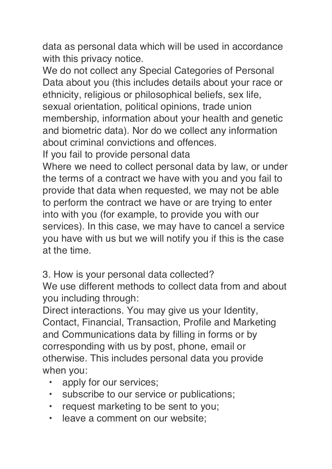data as personal data which will be used in accordance with this privacy notice.

We do not collect any Special Categories of Personal Data about you (this includes details about your race or ethnicity, religious or philosophical beliefs, sex life, sexual orientation, political opinions, trade union membership, information about your health and genetic and biometric data). Nor do we collect any information about criminal convictions and offences.

If you fail to provide personal data

Where we need to collect personal data by law, or under the terms of a contract we have with you and you fail to provide that data when requested, we may not be able to perform the contract we have or are trying to enter into with you (for example, to provide you with our services). In this case, we may have to cancel a service you have with us but we will notify you if this is the case at the time.

3. How is your personal data collected?

We use different methods to collect data from and about you including through:

Direct interactions. You may give us your Identity, Contact, Financial, Transaction, Profile and Marketing and Communications data by filling in forms or by corresponding with us by post, phone, email or otherwise. This includes personal data you provide when you:

- apply for our services;
- subscribe to our service or publications;
- request marketing to be sent to you;
- leave a comment on our website;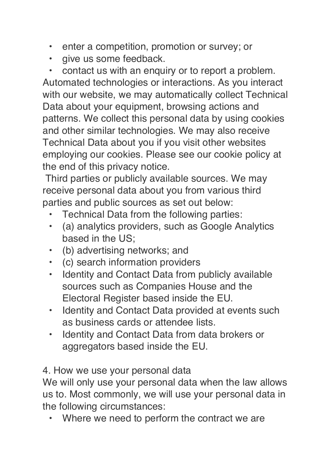- enter a competition, promotion or survey; or
- give us some feedback.

• contact us with an enquiry or to report a problem. Automated technologies or interactions. As you interact with our website, we may automatically collect Technical Data about your equipment, browsing actions and patterns. We collect this personal data by using cookies and other similar technologies. We may also receive Technical Data about you if you visit other websites employing our cookies. Please see our cookie policy at the end of this privacy notice.

Third parties or publicly available sources. We may receive personal data about you from various third parties and public sources as set out below:

- Technical Data from the following parties:
- (a) analytics providers, such as Google Analytics based in the US;
- (b) advertising networks; and
- (c) search information providers
- Identity and Contact Data from publicly available sources such as Companies House and the Electoral Register based inside the EU.
- Identity and Contact Data provided at events such as business cards or attendee lists.
- Identity and Contact Data from data brokers or aggregators based inside the EU.

4. How we use your personal data

We will only use your personal data when the law allows us to. Most commonly, we will use your personal data in the following circumstances:

Where we need to perform the contract we are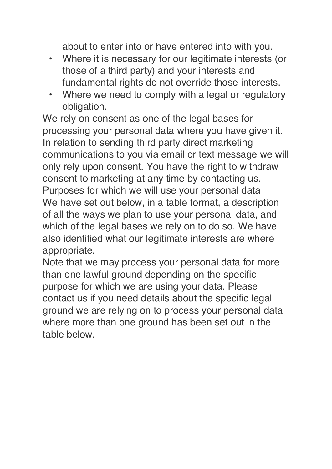about to enter into or have entered into with you.

- Where it is necessary for our legitimate interests (or those of a third party) and your interests and fundamental rights do not override those interests.
- Where we need to comply with a legal or regulatory obligation.

We rely on consent as one of the legal bases for processing your personal data where you have given it. In relation to sending third party direct marketing communications to you via email or text message we will only rely upon consent. You have the right to withdraw consent to marketing at any time by contacting us. Purposes for which we will use your personal data We have set out below, in a table format, a description of all the ways we plan to use your personal data, and which of the legal bases we rely on to do so. We have also identified what our legitimate interests are where appropriate.

Note that we may process your personal data for more than one lawful ground depending on the specific purpose for which we are using your data. Please contact us if you need details about the specific legal ground we are relying on to process your personal data where more than one ground has been set out in the table below.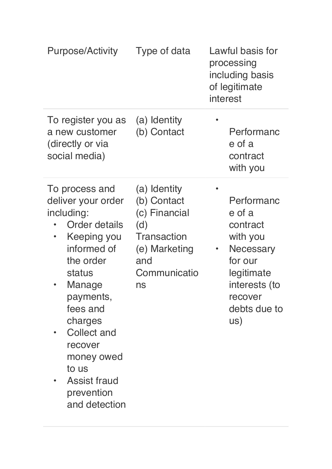|                        | <b>Purpose/Activity</b>                                                                                                                                                                                                                                                              | Type of data                                                                                                            | Lawful basis for<br>processing<br>including basis<br>of legitimate<br>interest                                                                            |
|------------------------|--------------------------------------------------------------------------------------------------------------------------------------------------------------------------------------------------------------------------------------------------------------------------------------|-------------------------------------------------------------------------------------------------------------------------|-----------------------------------------------------------------------------------------------------------------------------------------------------------|
|                        | To register you as<br>a new customer<br>(directly or via<br>social media)                                                                                                                                                                                                            | (a) Identity<br>(b) Contact                                                                                             | Performanc<br>e of a<br>contract<br>with you                                                                                                              |
| $\bullet$<br>$\bullet$ | To process and<br>deliver your order<br>including:<br>Order details<br>Keeping you<br>informed of<br>the order<br>status<br>Manage<br>payments,<br>fees and<br>charges<br><b>Collect and</b><br>recover<br>money owed<br>to us<br><b>Assist fraud</b><br>prevention<br>and detection | (a) Identity<br>(b) Contact<br>(c) Financial<br>(d)<br><b>Transaction</b><br>(e) Marketing<br>and<br>Communicatio<br>ns | Performanc<br>e of a<br>contract<br>with you<br><b>Necessary</b><br>$\bullet$<br>for our<br>legitimate<br>interests (to<br>recover<br>debts due to<br>US) |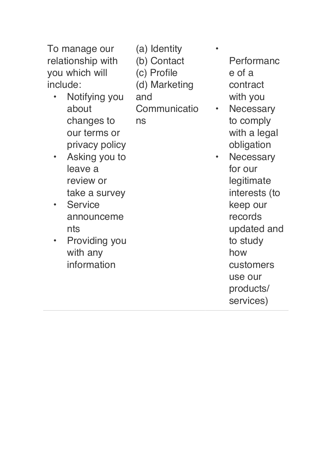To manage our relationship with you which will include:

- Notifying you about changes to our terms or privacy policy
- (a) Identity
- (b) Contact
- (c) Profile
- (d) Marketing

and

ns

- **Communicatio**
- Performanc e of a

•

- contract with you
- Necessary to comply with a legal obligation
- Necessary for our legitimate interests (to keep our records updated and to study how customers use our products/ services)
- Asking you to leave a review or take a survey
- Service announceme nts
- Providing you with any information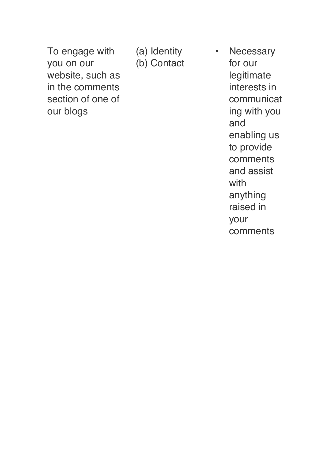To engage with you on our website, such as in the comments section of one of our blogs

(a) Identity (b) Contact • Necessary for our legitimate interests in communicat ing with you and enabling us to provide comments and assist with anything raised in your comments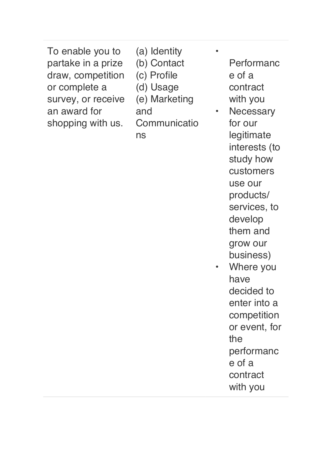To enable you to partake in a prize draw, competition or complete a survey, or receive an award for shopping with us.

- (a) Identity
- (b) Contact
- (c) Profile
- (d) Usage
- (e) Marketing and Communicatio

ns

Performanc e of a contract with you

•

- Necessary for our legitimate interests (to study how customers use our products/ services, to develop them and grow our business) • Where you have decided to
	- enter into a competition or event, for the
	- performanc e of a
	- contract with you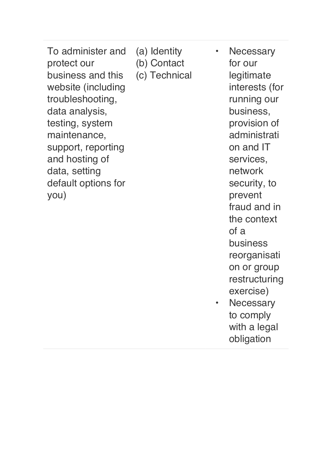To administer and protect our business and this website (including troubleshooting, data analysis, testing, system maintenance, support, reporting and hosting of data, setting default options for you) (a) Identity (b) Contact (c) Technical • Necessary for our legitimate interests (for running our business, provision of administrati on and IT services, network security, to prevent fraud and in the context of a business reorganisati on or group restructuring exercise) • Necessary to comply

with a legal obligation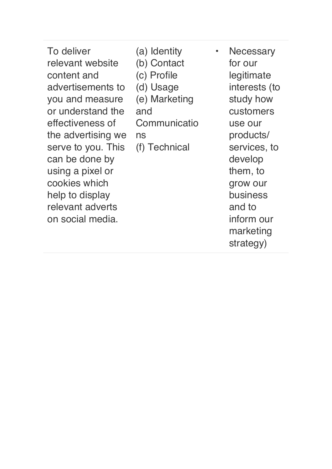To deliver relevant website content and advertisements to you and measure or understand the effectiveness of the advertising we serve to you. This can be done by using a pixel or cookies which help to display relevant adverts on social media.

- (a) Identity
- (b) Contact
- (c) Profile
- (d) Usage
- (e) Marketing
- and
- **Communicatio**
- ns
- (f) Technical

• Necessary for our legitimate interests (to study how customers use our products/ services, to develop them, to grow our business and to inform our marketing strategy)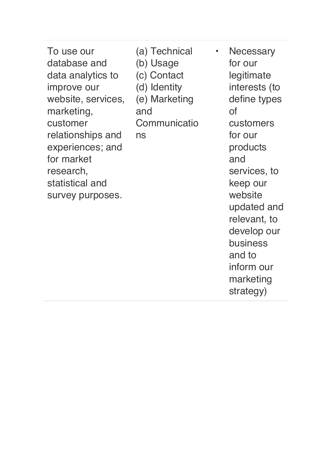To use our database and data analytics to improve our website, services, marketing, customer relationships and experiences; and for market research, statistical and survey purposes.

- (a) Technical
- (b) Usage
- (c) Contact
- (d) Identity
- (e) Marketing and Communicatio
- ns

• Necessary for our legitimate interests (to define types of customers for our products and services, to keep our website updated and relevant, to develop our business and to inform our marketing strategy)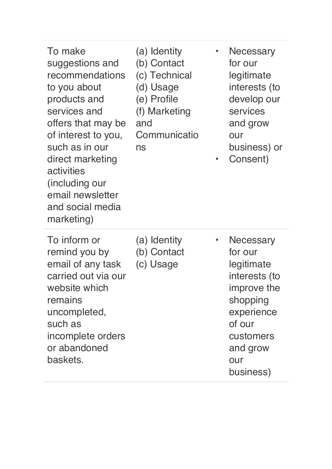- To make suggestions and recommendations to you about products and services and offers that may be of interest to you, such as in our direct marketing activities (including our email newsletter and social media marketing) (a) Identity (b) Contact (c) Technical (d) Usage (e) Profile (f) Marketing and Communicatio ns **Necessary** for our legitimate interests (to develop our services and grow our business) or • Consent) To inform or (a) Identity
- remind you by email of any task carried out via our website which remains uncompleted, such as incomplete orders or abandoned baskets.
- (b) Contact
- (c) Usage
- **Necessary** for our legitimate interests (to improve the shopping experience of our customers and grow our business)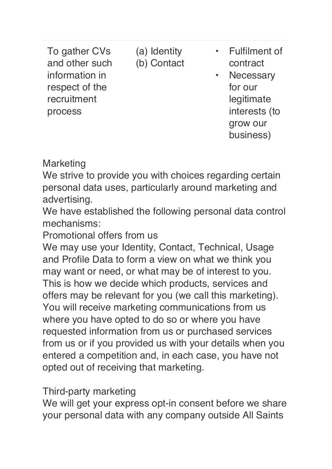To gather CVs and other such information in respect of the recruitment process

(a) Identity (b) Contact

- Fulfilment of contract
	- **Necessary** for our legitimate interests (to grow our business)

**Marketing** 

We strive to provide you with choices regarding certain personal data uses, particularly around marketing and advertising.

We have established the following personal data control mechanisms:

Promotional offers from us

We may use your Identity, Contact, Technical, Usage and Profile Data to form a view on what we think you may want or need, or what may be of interest to you. This is how we decide which products, services and offers may be relevant for you (we call this marketing). You will receive marketing communications from us where you have opted to do so or where you have requested information from us or purchased services from us or if you provided us with your details when you entered a competition and, in each case, you have not opted out of receiving that marketing.

## Third-party marketing

We will get your express opt-in consent before we share your personal data with any company outside All Saints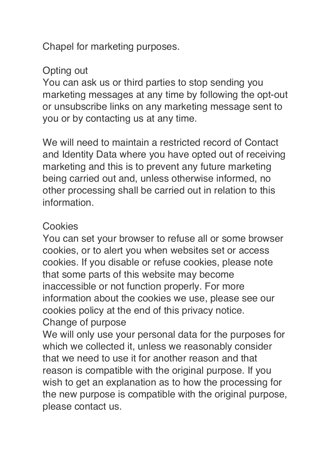Chapel for marketing purposes.

## Opting out

You can ask us or third parties to stop sending you marketing messages at any time by following the opt-out or unsubscribe links on any marketing message sent to you or by contacting us at any time.

We will need to maintain a restricted record of Contact and Identity Data where you have opted out of receiving marketing and this is to prevent any future marketing being carried out and, unless otherwise informed, no other processing shall be carried out in relation to this information.

## Cookies

You can set your browser to refuse all or some browser cookies, or to alert you when websites set or access cookies. If you disable or refuse cookies, please note that some parts of this website may become inaccessible or not function properly. For more information about the cookies we use, please see our cookies policy at the end of this privacy notice. Change of purpose

We will only use your personal data for the purposes for which we collected it, unless we reasonably consider that we need to use it for another reason and that reason is compatible with the original purpose. If you wish to get an explanation as to how the processing for the new purpose is compatible with the original purpose, please contact us.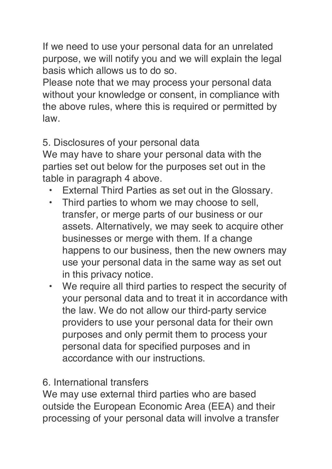If we need to use your personal data for an unrelated purpose, we will notify you and we will explain the legal basis which allows us to do so.

Please note that we may process your personal data without your knowledge or consent, in compliance with the above rules, where this is required or permitted by law.

5. Disclosures of your personal data

We may have to share your personal data with the parties set out below for the purposes set out in the table in paragraph 4 above.

- External Third Parties as set out in the Glossary.
- Third parties to whom we may choose to sell, transfer, or merge parts of our business or our assets. Alternatively, we may seek to acquire other businesses or merge with them. If a change happens to our business, then the new owners may use your personal data in the same way as set out in this privacy notice.
- We require all third parties to respect the security of your personal data and to treat it in accordance with the law. We do not allow our third-party service providers to use your personal data for their own purposes and only permit them to process your personal data for specified purposes and in accordance with our instructions.

## 6. International transfers

We may use external third parties who are based outside the European Economic Area (EEA) and their processing of your personal data will involve a transfer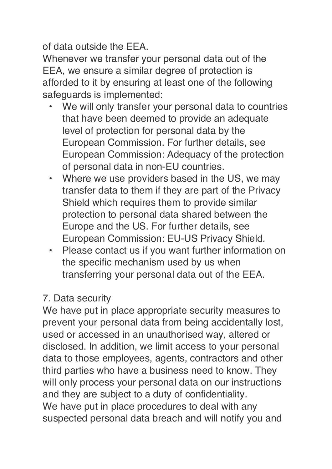of data outside the EEA.

Whenever we transfer your personal data out of the EEA, we ensure a similar degree of protection is afforded to it by ensuring at least one of the following safeguards is implemented:

- We will only transfer your personal data to countries that have been deemed to provide an adequate level of protection for personal data by the European Commission. For further details, see European Commission: Adequacy of the protection of personal data in non-EU countries.
- Where we use providers based in the US, we may transfer data to them if they are part of the Privacy Shield which requires them to provide similar protection to personal data shared between the Europe and the US. For further details, see European Commission: EU-US Privacy Shield.
- Please contact us if you want further information on the specific mechanism used by us when transferring your personal data out of the EEA.

## 7. Data security

We have put in place appropriate security measures to prevent your personal data from being accidentally lost, used or accessed in an unauthorised way, altered or disclosed. In addition, we limit access to your personal data to those employees, agents, contractors and other third parties who have a business need to know. They will only process your personal data on our instructions and they are subject to a duty of confidentiality. We have put in place procedures to deal with any suspected personal data breach and will notify you and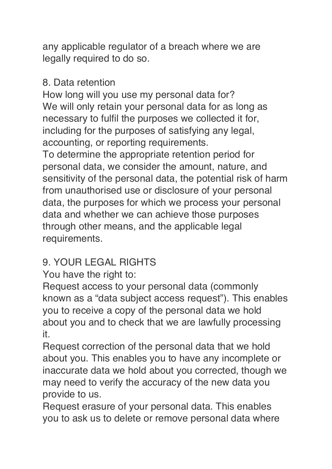any applicable regulator of a breach where we are legally required to do so.

## 8. Data retention

How long will you use my personal data for? We will only retain your personal data for as long as necessary to fulfil the purposes we collected it for, including for the purposes of satisfying any legal, accounting, or reporting requirements.

To determine the appropriate retention period for personal data, we consider the amount, nature, and sensitivity of the personal data, the potential risk of harm from unauthorised use or disclosure of your personal data, the purposes for which we process your personal data and whether we can achieve those purposes through other means, and the applicable legal requirements.

# 9. YOUR LEGAL RIGHTS

You have the right to:

Request access to your personal data (commonly known as a "data subject access request"). This enables you to receive a copy of the personal data we hold about you and to check that we are lawfully processing it.

Request correction of the personal data that we hold about you. This enables you to have any incomplete or inaccurate data we hold about you corrected, though we may need to verify the accuracy of the new data you provide to us.

Request erasure of your personal data. This enables you to ask us to delete or remove personal data where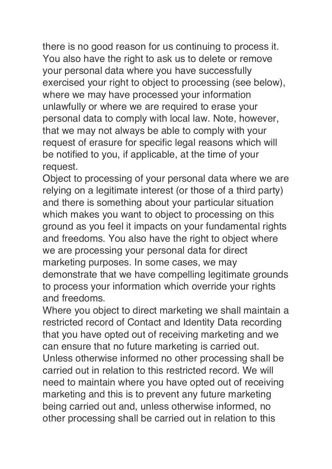there is no good reason for us continuing to process it. You also have the right to ask us to delete or remove your personal data where you have successfully exercised your right to object to processing (see below), where we may have processed your information unlawfully or where we are required to erase your personal data to comply with local law. Note, however, that we may not always be able to comply with your request of erasure for specific legal reasons which will be notified to you, if applicable, at the time of your request.

Object to processing of your personal data where we are relying on a legitimate interest (or those of a third party) and there is something about your particular situation which makes you want to object to processing on this ground as you feel it impacts on your fundamental rights and freedoms. You also have the right to object where we are processing your personal data for direct marketing purposes. In some cases, we may demonstrate that we have compelling legitimate grounds to process your information which override your rights and freedoms.

Where you object to direct marketing we shall maintain a restricted record of Contact and Identity Data recording that you have opted out of receiving marketing and we can ensure that no future marketing is carried out. Unless otherwise informed no other processing shall be carried out in relation to this restricted record. We will need to maintain where you have opted out of receiving marketing and this is to prevent any future marketing being carried out and, unless otherwise informed, no other processing shall be carried out in relation to this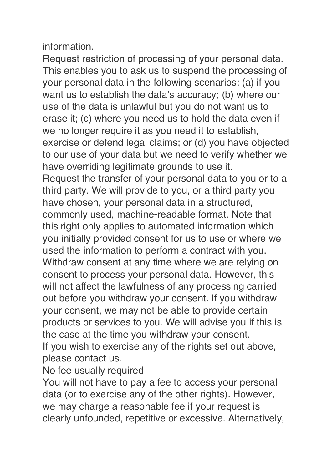information.

Request restriction of processing of your personal data. This enables you to ask us to suspend the processing of your personal data in the following scenarios: (a) if you want us to establish the data's accuracy; (b) where our use of the data is unlawful but you do not want us to erase it; (c) where you need us to hold the data even if we no longer require it as you need it to establish, exercise or defend legal claims; or (d) you have objected to our use of your data but we need to verify whether we have overriding legitimate grounds to use it. Request the transfer of your personal data to you or to a third party. We will provide to you, or a third party you have chosen, your personal data in a structured, commonly used, machine-readable format. Note that this right only applies to automated information which you initially provided consent for us to use or where we used the information to perform a contract with you. Withdraw consent at any time where we are relying on consent to process your personal data. However, this will not affect the lawfulness of any processing carried out before you withdraw your consent. If you withdraw your consent, we may not be able to provide certain products or services to you. We will advise you if this is the case at the time you withdraw your consent. If you wish to exercise any of the rights set out above, please contact us.

No fee usually required

You will not have to pay a fee to access your personal data (or to exercise any of the other rights). However, we may charge a reasonable fee if your request is clearly unfounded, repetitive or excessive. Alternatively,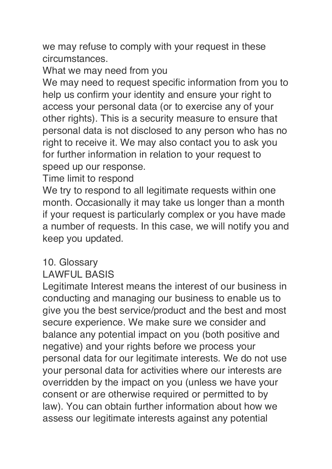we may refuse to comply with your request in these circumstances.

What we may need from you

We may need to request specific information from you to help us confirm your identity and ensure your right to access your personal data (or to exercise any of your other rights). This is a security measure to ensure that personal data is not disclosed to any person who has no right to receive it. We may also contact you to ask you for further information in relation to your request to speed up our response.

Time limit to respond

We try to respond to all legitimate requests within one month. Occasionally it may take us longer than a month if your request is particularly complex or you have made a number of requests. In this case, we will notify you and keep you updated.

#### 10. Glossary

## LAWFUL BASIS

Legitimate Interest means the interest of our business in conducting and managing our business to enable us to give you the best service/product and the best and most secure experience. We make sure we consider and balance any potential impact on you (both positive and negative) and your rights before we process your personal data for our legitimate interests. We do not use your personal data for activities where our interests are overridden by the impact on you (unless we have your consent or are otherwise required or permitted to by law). You can obtain further information about how we assess our legitimate interests against any potential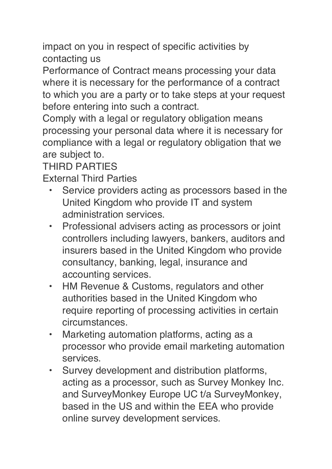impact on you in respect of specific activities by contacting us

Performance of Contract means processing your data where it is necessary for the performance of a contract to which you are a party or to take steps at your request before entering into such a contract.

Comply with a legal or regulatory obligation means processing your personal data where it is necessary for compliance with a legal or regulatory obligation that we are subject to.

## THIRD PARTIES

External Third Parties

- Service providers acting as processors based in the United Kingdom who provide IT and system administration services.
- Professional advisers acting as processors or joint controllers including lawyers, bankers, auditors and insurers based in the United Kingdom who provide consultancy, banking, legal, insurance and accounting services.
- HM Revenue & Customs, regulators and other authorities based in the United Kingdom who require reporting of processing activities in certain circumstances.
- Marketing automation platforms, acting as a processor who provide email marketing automation services.
- Survey development and distribution platforms, acting as a processor, such as Survey Monkey Inc. and SurveyMonkey Europe UC t/a SurveyMonkey, based in the US and within the EEA who provide online survey development services.